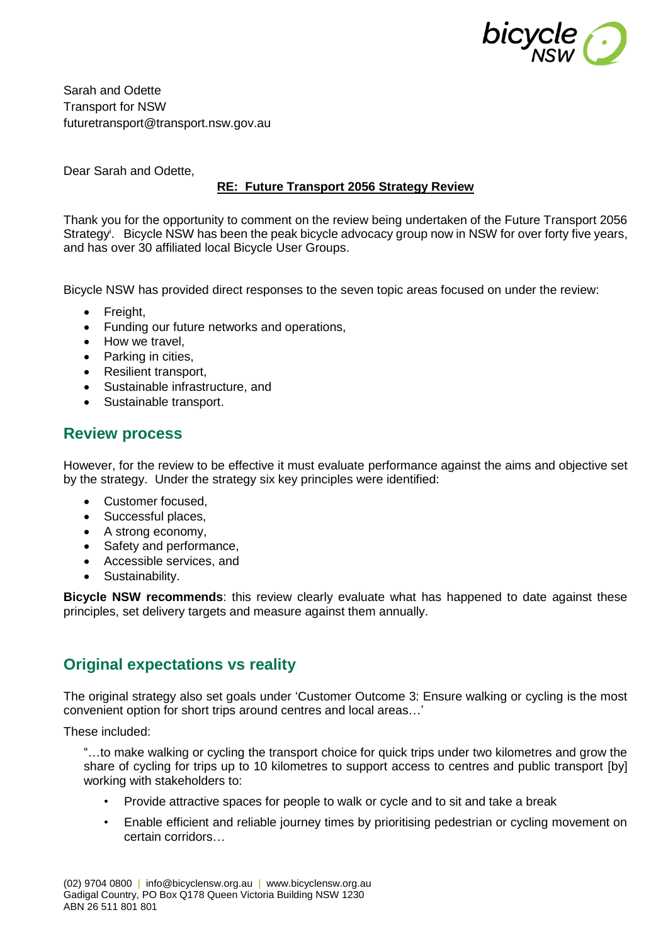

Sarah and Odette Transport for NSW futuretransport@transport.nsw.gov.au

Dear Sarah and Odette

#### **RE: Future Transport 2056 Strategy Review**

Thank you for the opportunity to comment on the review being undertaken of the Future Transport 2056 Strategy<sup>i</sup>. Bicycle NSW has been the peak bicycle advocacy group now in NSW for over forty five years, and has over 30 affiliated local Bicycle User Groups.

Bicycle NSW has provided direct responses to the seven topic areas focused on under the review:

- Freight,
- Funding our future networks and operations,
- How we travel,
- Parking in cities,
- Resilient transport.
- Sustainable infrastructure, and
- Sustainable transport.

### **Review process**

However, for the review to be effective it must evaluate performance against the aims and objective set by the strategy. Under the strategy six key principles were identified:

- Customer focused.
- Successful places,
- A strong economy,
- Safety and performance,
- Accessible services, and
- Sustainability.

**Bicycle NSW recommends**: this review clearly evaluate what has happened to date against these principles, set delivery targets and measure against them annually.

## **Original expectations vs reality**

The original strategy also set goals under 'Customer Outcome 3: Ensure walking or cycling is the most convenient option for short trips around centres and local areas…'

These included:

"…to make walking or cycling the transport choice for quick trips under two kilometres and grow the share of cycling for trips up to 10 kilometres to support access to centres and public transport [by] working with stakeholders to:

- Provide attractive spaces for people to walk or cycle and to sit and take a break
- Enable efficient and reliable journey times by prioritising pedestrian or cycling movement on certain corridors…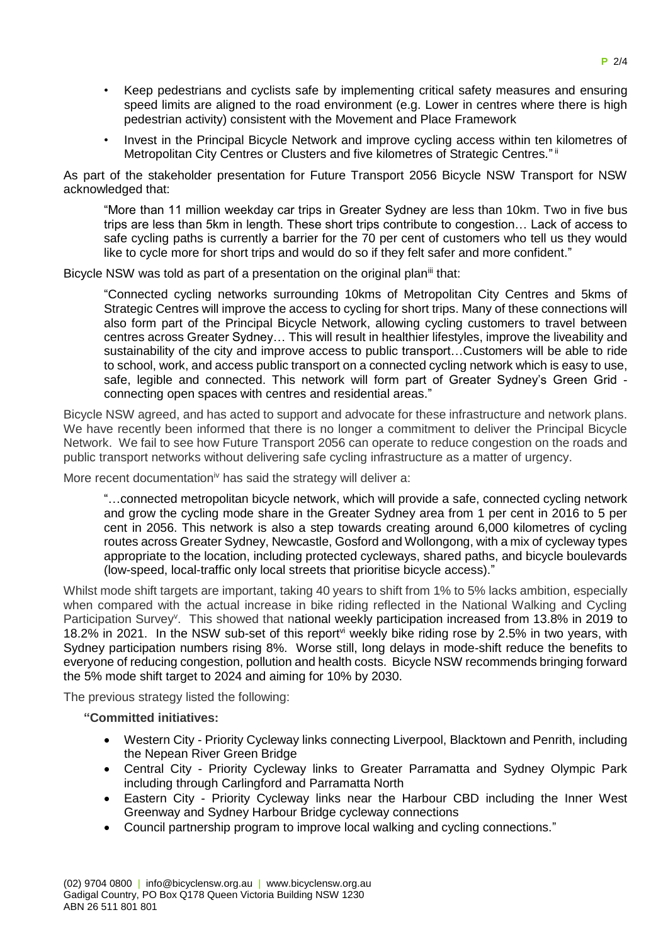- Keep pedestrians and cyclists safe by implementing critical safety measures and ensuring speed limits are aligned to the road environment (e.g. Lower in centres where there is high pedestrian activity) consistent with the Movement and Place Framework
- Invest in the Principal Bicycle Network and improve cycling access within ten kilometres of Metropolitan City Centres or Clusters and five kilometres of Strategic Centres."<sup>ii</sup>

As part of the stakeholder presentation for Future Transport 2056 Bicycle NSW Transport for NSW acknowledged that:

"More than 11 million weekday car trips in Greater Sydney are less than 10km. Two in five bus trips are less than 5km in length. These short trips contribute to congestion… Lack of access to safe cycling paths is currently a barrier for the 70 per cent of customers who tell us they would like to cycle more for short trips and would do so if they felt safer and more confident."

Bicycle NSW was told as part of a presentation on the original plan<sup>iii</sup> that:

"Connected cycling networks surrounding 10kms of Metropolitan City Centres and 5kms of Strategic Centres will improve the access to cycling for short trips. Many of these connections will also form part of the Principal Bicycle Network, allowing cycling customers to travel between centres across Greater Sydney… This will result in healthier lifestyles, improve the liveability and sustainability of the city and improve access to public transport…Customers will be able to ride to school, work, and access public transport on a connected cycling network which is easy to use, safe, legible and connected. This network will form part of Greater Sydney's Green Grid connecting open spaces with centres and residential areas."

Bicycle NSW agreed, and has acted to support and advocate for these infrastructure and network plans. We have recently been informed that there is no longer a commitment to deliver the Principal Bicycle Network. We fail to see how Future Transport 2056 can operate to reduce congestion on the roads and public transport networks without delivering safe cycling infrastructure as a matter of urgency.

More recent documentation<sup>iv</sup> has said the strategy will deliver a:

"…connected metropolitan bicycle network, which will provide a safe, connected cycling network and grow the cycling mode share in the Greater Sydney area from 1 per cent in 2016 to 5 per cent in 2056. This network is also a step towards creating around 6,000 kilometres of cycling routes across Greater Sydney, Newcastle, Gosford and Wollongong, with a mix of cycleway types appropriate to the location, including protected cycleways, shared paths, and bicycle boulevards (low-speed, local-traffic only local streets that prioritise bicycle access)."

Whilst mode shift targets are important, taking 40 years to shift from 1% to 5% lacks ambition, especially when compared with the actual increase in bike riding reflected in the National Walking and Cycling Participation Survey<sup>v</sup>. This showed that national weekly participation increased from 13.8% in 2019 to 18.2% in 2021. In the NSW sub-set of this report<sup>vi</sup> weekly bike riding rose by 2.5% in two years, with Sydney participation numbers rising 8%. Worse still, long delays in mode-shift reduce the benefits to everyone of reducing congestion, pollution and health costs. Bicycle NSW recommends bringing forward the 5% mode shift target to 2024 and aiming for 10% by 2030.

The previous strategy listed the following:

**"Committed initiatives:**

- Western City Priority Cycleway links connecting Liverpool, Blacktown and Penrith, including the Nepean River Green Bridge
- Central City Priority Cycleway links to Greater Parramatta and Sydney Olympic Park including through Carlingford and Parramatta North
- Eastern City Priority Cycleway links near the Harbour CBD including the Inner West Greenway and Sydney Harbour Bridge cycleway connections
- Council partnership program to improve local walking and cycling connections."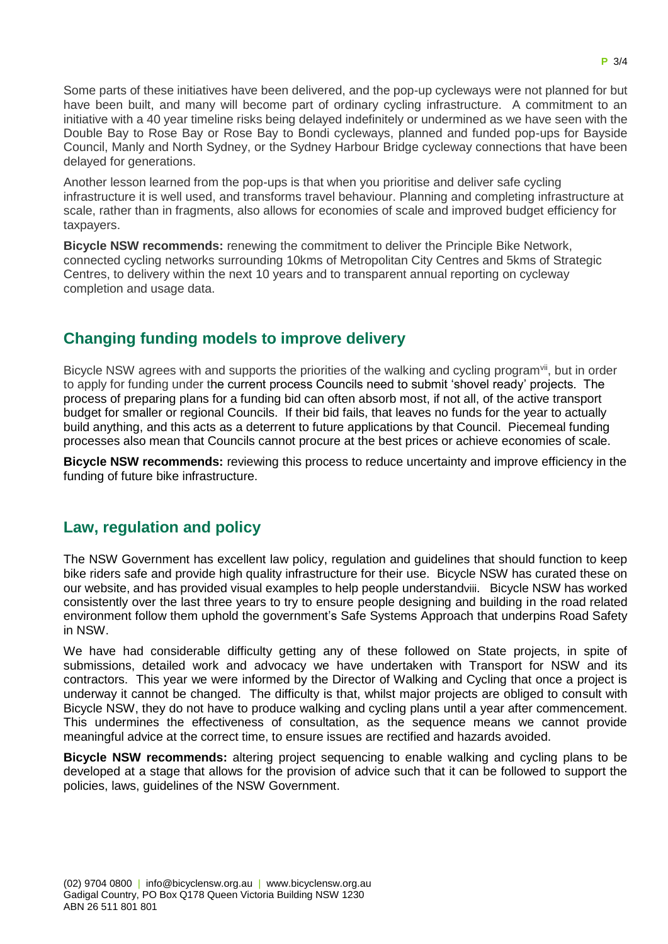Some parts of these initiatives have been delivered, and the pop-up cycleways were not planned for but have been built, and many will become part of ordinary cycling infrastructure. A commitment to an initiative with a 40 year timeline risks being delayed indefinitely or undermined as we have seen with the Double Bay to Rose Bay or Rose Bay to Bondi cycleways, planned and funded pop-ups for Bayside Council, Manly and North Sydney, or the Sydney Harbour Bridge cycleway connections that have been delayed for generations.

Another lesson learned from the pop-ups is that when you prioritise and deliver safe cycling infrastructure it is well used, and transforms travel behaviour. Planning and completing infrastructure at scale, rather than in fragments, also allows for economies of scale and improved budget efficiency for taxpayers.

**Bicycle NSW recommends:** renewing the commitment to deliver the Principle Bike Network, connected cycling networks surrounding 10kms of Metropolitan City Centres and 5kms of Strategic Centres, to delivery within the next 10 years and to transparent annual reporting on cycleway completion and usage data.

# **Changing funding models to improve delivery**

Bicycle NSW agrees with and supports the priorities of the walking and cycling program<sup>vii</sup>, but in order to apply for funding under the current process Councils need to submit 'shovel ready' projects. The process of preparing plans for a funding bid can often absorb most, if not all, of the active transport budget for smaller or regional Councils. If their bid fails, that leaves no funds for the year to actually build anything, and this acts as a deterrent to future applications by that Council. Piecemeal funding processes also mean that Councils cannot procure at the best prices or achieve economies of scale.

**Bicycle NSW recommends:** reviewing this process to reduce uncertainty and improve efficiency in the funding of future bike infrastructure.

### **Law, regulation and policy**

The NSW Government has excellent law policy, regulation and guidelines that should function to keep bike riders safe and provide high quality infrastructure for their use. Bicycle NSW has curated these on our website, and has provided visual examples to help people understandviii. Bicycle NSW has worked consistently over the last three years to try to ensure people designing and building in the road related environment follow them uphold the government's Safe Systems Approach that underpins Road Safety in NSW.

We have had considerable difficulty getting any of these followed on State projects, in spite of submissions, detailed work and advocacy we have undertaken with Transport for NSW and its contractors. This year we were informed by the Director of Walking and Cycling that once a project is underway it cannot be changed. The difficulty is that, whilst major projects are obliged to consult with Bicycle NSW, they do not have to produce walking and cycling plans until a year after commencement. This undermines the effectiveness of consultation, as the sequence means we cannot provide meaningful advice at the correct time, to ensure issues are rectified and hazards avoided.

**Bicycle NSW recommends:** altering project sequencing to enable walking and cycling plans to be developed at a stage that allows for the provision of advice such that it can be followed to support the policies, laws, guidelines of the NSW Government.